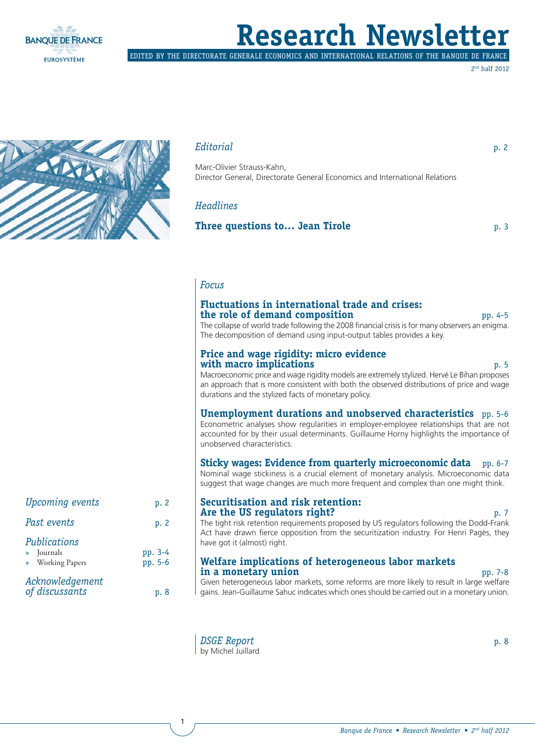

# **Research Newsle**

EDITED BY THE DIRECTORATE GENERALE ECONOMICS AND INTERNATIONAL RELATIONS OF THE BANQUE DE FRANCE

2nd half 2012



#### *Editorial* p. 2

Marc-Olivier Strauss-Kahn, Director General, Directorate General Economics and International Relations

#### *Headlines*

**Three questions to... Jean Tirole p. 3** p. 3

#### *Focus*

#### **Fluctuations in international trade and crises: the role of demand composition pp. 4-5** pp. 4-5

The collapse of world trade following the 2008 financial crisis is for many observers an enigma. The decomposition of demand using input-output tables provides a key.

#### **Price and wage rigidity: micro evidence with macro implications** p. 5

Macroeconomic price and wage rigidity models are extremely stylized. Hervé Le Bihan proposes an approach that is more consistent with both the observed distributions of price and wage durations and the stylized facts of monetary policy.

#### **Unemployment durations and unobserved characteristics** pp. 5-6

Econometric analyses show regularities in employer-employee relationships that are not accounted for by their usual determinants. Guillaume Horny highlights the importance of unobserved characteristics.

#### **Sticky wages: Evidence from quarterly microeconomic data** pp. 6-7

Nominal wage stickiness is a crucial element of monetary analysis. Microeconomic data suggest that wage changes are much more frequent and complex than one might think.

#### **Securitisation and risk retention: Are the US regulators right? p. 7** p. 7

The tight risk retention requirements proposed by US regulators following the Dodd-Frank Act have drawn fierce opposition from the securitization industry. For Henri Pagès, they have got it (almost) right.

#### **Welfare implications of heterogeneous labor markets in a monetary union** pp. 7-8

Given heterogeneous labor markets, some reforms are more likely to result in large welfare gains. Jean-Guillaume Sahuc indicates which ones should be carried out in a monetary union.

*DSGE Report* p. 8 by Michel Juillard

**1**

| <b>Upcoming events</b>                         | p. 2               |
|------------------------------------------------|--------------------|
| Past events                                    | p. 2               |
| Publications<br>» Journals<br>» Working Papers | pp. 3-4<br>pp. 5-6 |
| Acknowledgement<br>of discussants              | p. 8               |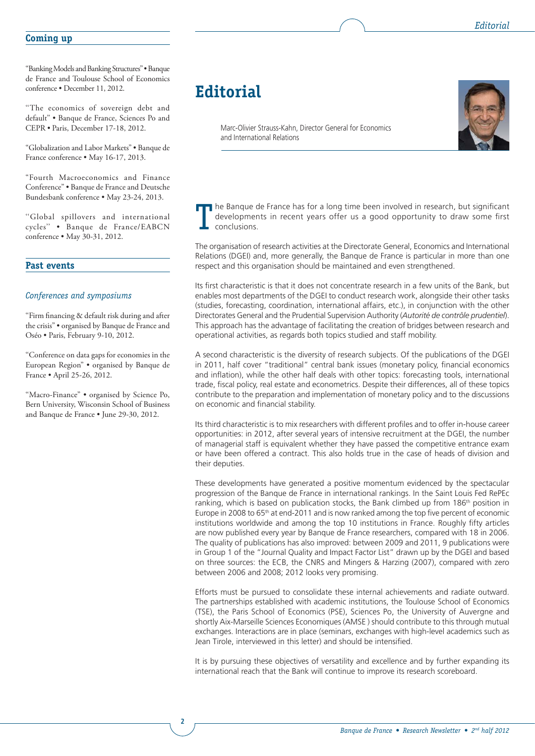#### **Coming up**

"Banking Models and Banking Structures" • Banque de France and Toulouse School of Economics conference • December 11, 2012.

''The economics of sovereign debt and default'' • Banque de France, Sciences Po and CEPR • Paris, December 17-18, 2012.

"Globalization and Labor Markets" • Banque de France conference • May 16-17, 2013.

"Fourth Macroeconomics and Finance Conference" • Banque de France and Deutsche Bundesbank conference • May 23-24, 2013.

''Global spillovers and international cycles'' • Banque de France/EABCN conference • May 30-31, 2012.

#### **Past events**

#### *Conferences and symposiums*

"Firm financing & default risk during and after the crisis" • organised by Banque de France and Oséo • Paris, February 9-10, 2012.

''Conference on data gaps for economies in the European Region" • organised by Banque de France • April 25-26, 2012.

''Macro-Finance" • organised by Science Po, Bern University, Wisconsin School of Business and Banque de France • June 29-30, 2012.

**2**

# **Editorial**

Marc-Olivier Strauss-Kahn, Director General for Economics and International Relations



The Banque de France has for a long time been involved in research, but significant developments in recent years offer us a good opportunity to draw some first conclusions.

The organisation of research activities at the Directorate General, Economics and International Relations (DGEI) and, more generally, the Banque de France is particular in more than one respect and this organisation should be maintained and even strengthened.

Its first characteristic is that it does not concentrate research in a few units of the Bank, but enables most departments of the DGEI to conduct research work, alongside their other tasks (studies, forecasting, coordination, international affairs, etc.), in conjunction with the other Directorates General and the Prudential Supervision Authority (*Autorité de contrôle prudentiel*). This approach has the advantage of facilitating the creation of bridges between research and operational activities, as regards both topics studied and staff mobility.

A second characteristic is the diversity of research subjects. Of the publications of the DGEI in 2011, half cover "traditional" central bank issues (monetary policy, financial economics and inflation), while the other half deals with other topics: forecasting tools, international trade, fiscal policy, real estate and econometrics. Despite their differences, all of these topics contribute to the preparation and implementation of monetary policy and to the discussions on economic and financial stability.

Its third characteristic is to mix researchers with different profiles and to offer in-house career opportunities: in 2012, after several years of intensive recruitment at the DGEI, the number of managerial staff is equivalent whether they have passed the competitive entrance exam or have been offered a contract. This also holds true in the case of heads of division and their deputies.

These developments have generated a positive momentum evidenced by the spectacular progression of the Banque de France in international rankings. In the Saint Louis Fed RePEc ranking, which is based on publication stocks, the Bank climbed up from  $186<sup>th</sup>$  position in Europe in 2008 to  $65<sup>th</sup>$  at end-2011 and is now ranked among the top five percent of economic institutions worldwide and among the top 10 institutions in France. Roughly fifty articles are now published every year by Banque de France researchers, compared with 18 in 2006. The quality of publications has also improved: between 2009 and 2011, 9 publications were in Group 1 of the "Journal Quality and Impact Factor List" drawn up by the DGEI and based on three sources: the ECB, the CNRS and Mingers & Harzing (2007), compared with zero between 2006 and 2008; 2012 looks very promising.

Efforts must be pursued to consolidate these internal achievements and radiate outward. The partnerships established with academic institutions, the Toulouse School of Economics (TSE), the Paris School of Economics (PSE), Sciences Po, the University of Auvergne and shortly Aix-Marseille Sciences Economiques (AMSE ) should contribute to this through mutual exchanges. Interactions are in place (seminars, exchanges with high-level academics such as Jean Tirole, interviewed in this letter) and should be intensified.

It is by pursuing these objectives of versatility and excellence and by further expanding its international reach that the Bank will continue to improve its research scoreboard.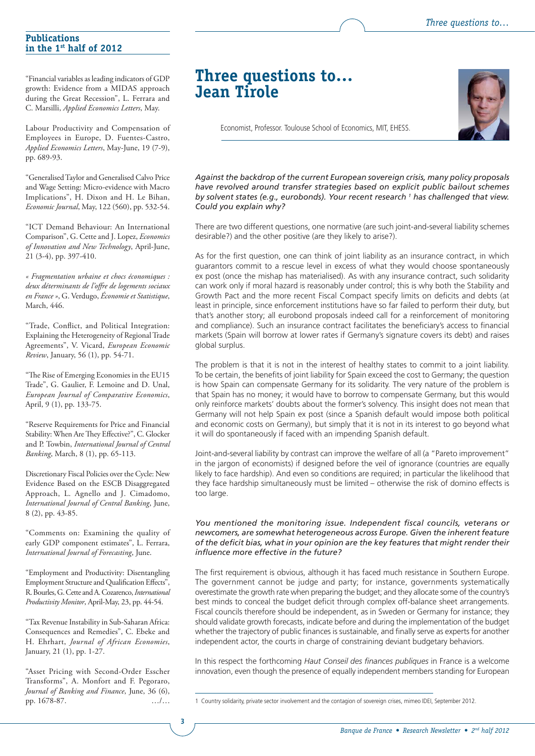*Three questions to…*

#### **Publications in the 1st half of 2012**

"Financial variables as leading indicators of GDP growth: Evidence from a MIDAS approach during the Great Recession", L. Ferrara and C. Marsilli, *Applied Economics Letters*, May.

Labour Productivity and Compensation of Employees in Europe, D. Fuentes-Castro, *Applied Economics Letters*, May-June, 19 (7-9), pp. 689-93.

"Generalised Taylor and Generalised Calvo Price and Wage Setting: Micro-evidence with Macro Implications", H. Dixon and H. Le Bihan, *Economic Journal*, May, 122 (560), pp. 532-54.

"ICT Demand Behaviour: An International Comparison", G. Cette and J. Lopez, *Economics of Innovation and New Technology*, April-June, 21 (3-4), pp. 397-410.

*« Fragmentation urbaine et chocs économiques : deux déterminants de l'off re de logements sociaux en France »*, G. Verdugo, *Économie et Statistique*, March, 446.

"Trade, Conflict, and Political Integration: Explaining the Heterogeneity of Regional Trade Agreements", V. Vicard, *European Economic Review*, January, 56 (1), pp. 54-71.

"The Rise of Emerging Economies in the EU15 Trade", G. Gaulier, F. Lemoine and D. Unal, *European Journal of Comparative Economics*, April, 9 (1), pp. 133-75.

"Reserve Requirements for Price and Financial Stability: When Are They Effective?", C. Glocker and P. Towbin, *International Journal of Central Banking*, March, 8 (1), pp. 65-113.

Discretionary Fiscal Policies over the Cycle: New Evidence Based on the ESCB Disaggregated Approach, L. Agnello and J. Cimadomo, *International Journal of Central Banking*, June, 8 (2), pp. 43-85.

"Comments on: Examining the quality of early GDP component estimates", L. Ferrara, *International Journal of Forecasting*, June.

"Employment and Productivity: Disentangling Employment Structure and Qualification Effects", R. Bourles, G. Cette and A. Cozarenco, *International Productivity Monitor*, April-May, 23, pp. 44-54.

"Tax Revenue Instability in Sub-Saharan Africa: Consequences and Remedies", C. Ebeke and H. Ehrhart, *Journal of African Economies*, January, 21 (1), pp. 1-27.

"Asset Pricing with Second-Order Esscher Transforms", A. Monfort and F. Pegoraro, *Journal of Banking and Finance*, June, 36 (6), pp. 1678-87.

**3**

# **Three questions to… Jean Tirole**

Economist, Professor. Toulouse School of Economics, MIT, EHESS.

*Against the backdrop of the current European sovereign crisis, many policy proposals have revolved around transfer strategies based on explicit public bailout schemes by solvent states (e.g., eurobonds). Your recent research 1 has challenged that view. Could you explain why?*

There are two different questions, one normative (are such joint-and-several liability schemes desirable?) and the other positive (are they likely to arise?).

As for the first question, one can think of joint liability as an insurance contract, in which guarantors commit to a rescue level in excess of what they would choose spontaneously ex post (once the mishap has materialised). As with any insurance contract, such solidarity can work only if moral hazard is reasonably under control; this is why both the Stability and Growth Pact and the more recent Fiscal Compact specify limits on deficits and debts (at least in principle, since enforcement institutions have so far failed to perform their duty, but that's another story; all eurobond proposals indeed call for a reinforcement of monitoring and compliance). Such an insurance contract facilitates the beneficiary's access to financial markets (Spain will borrow at lower rates if Germany's signature covers its debt) and raises global surplus.

The problem is that it is not in the interest of healthy states to commit to a joint liability. To be certain, the benefits of joint liability for Spain exceed the cost to Germany; the question is how Spain can compensate Germany for its solidarity. The very nature of the problem is that Spain has no money; it would have to borrow to compensate Germany, but this would only reinforce markets' doubts about the former's solvency. This insight does not mean that Germany will not help Spain ex post (since a Spanish default would impose both political and economic costs on Germany), but simply that it is not in its interest to go beyond what it will do spontaneously if faced with an impending Spanish default.

Joint-and-several liability by contrast can improve the welfare of all (a "Pareto improvement" in the jargon of economists) if designed before the veil of ignorance (countries are equally likely to face hardship). And even so conditions are required; in particular the likelihood that they face hardship simultaneously must be limited – otherwise the risk of domino effects is too large.

#### You mentioned the monitoring issue. Independent fiscal councils, veterans or *newcomers, are somewhat heterogeneous across Europe. Given the inherent feature*  of the deficit bias, what in your opinion are the key features that might render their *infl uence more effective in the future?*

The first requirement is obvious, although it has faced much resistance in Southern Europe. The government cannot be judge and party; for instance, governments systematically overestimate the growth rate when preparing the budget; and they allocate some of the country's best minds to conceal the budget deficit through complex off-balance sheet arrangements. Fiscal councils therefore should be independent, as in Sweden or Germany for instance; they should validate growth forecasts, indicate before and during the implementation of the budget whether the trajectory of public finances is sustainable, and finally serve as experts for another independent actor, the courts in charge of constraining deviant budgetary behaviors.

In this respect the forthcoming *Haut Conseil des finances publiques* in France is a welcome innovation, even though the presence of equally independent members standing for European

<sup>…/…</sup> 1 Country solidarity, private sector involvement and the contagion of sovereign crises, mimeo IDEI, September 2012.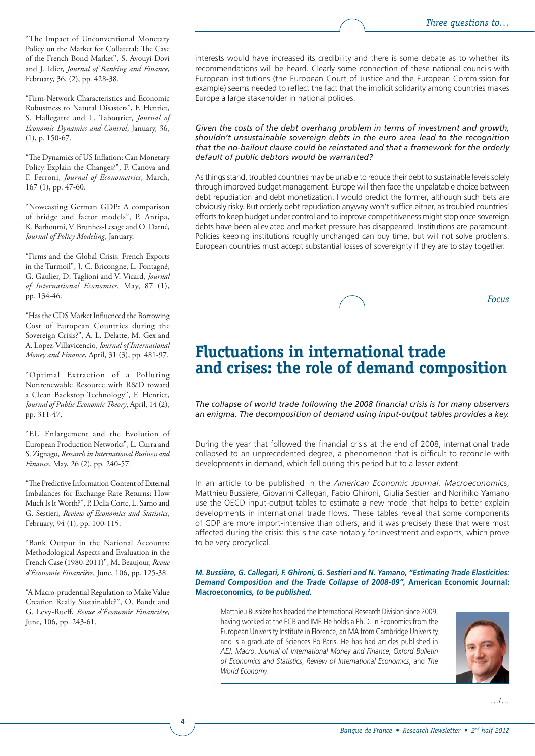"The Impact of Unconventional Monetary Policy on the Market for Collateral: The Case of the French Bond Market", S. Avouyi-Dovi and J. Idier, *Journal of Banking and Finance*, February, 36, (2), pp. 428-38.

"Firm-Network Characteristics and Economic Robustness to Natural Disasters", F. Henriet, S. Hallegatte and L. Tabourier, *Journal of Economic Dynamics and Control*, January, 36, (1), p. 150-67.

"The Dynamics of US Inflation: Can Monetary Policy Explain the Changes?", F. Canova and F. Ferroni, *Journal of Econometrics*, March, 167 (1), pp. 47-60.

"Nowcasting German GDP: A comparison of bridge and factor models", P. Antipa, K. Barhoumi, V. Brunhes-Lesage and O. Darné, *Journal of Policy Modeling*, January.

"Firms and the Global Crisis: French Exports in the Turmoil", J. C. Bricongne, L. Fontagné, G. Gaulier, D. Taglioni and V. Vicard, *Journal of International Economics*, May, 87 (1), pp. 134-46.

"Has the CDS Market Influenced the Borrowing Cost of European Countries during the Sovereign Crisis?", A. L. Delatte, M. Gex and A. Lopez-Villavicencio, *Journal of International Money and Finance*, April, 31 (3), pp. 481-97.

"Optimal Extraction of a Polluting Nonrenewable Resource with R&D toward a Clean Backstop Technology", F. Henriet, *Journal of Public Economic Theory*, April, 14(2), pp. 311-47.

"EU Enlargement and the Evolution of European Production Networks", L. Curra and S. Zignago, *Research in International Business and Finance*, May, 26 (2), pp. 240-57.

"The Predictive Information Content of External Imbalances for Exchange Rate Returns: How Much Is It Worth?", P. Della Corte, L. Sarno and G. Sestieri, *Review of Economics and Statistics*, February, 94 (1), pp. 100-115.

"Bank Output in the National Accounts: Methodological Aspects and Evaluation in the French Case (1980-2011)", M. Beaujour, *Revue d'Économie Financière*, June, 106, pp. 125-38.

"A Macro-prudential Regulation to Make Value Creation Really Sustainable?", O. Bandt and G. Levy-Rueff, Revue d'Économie Financière, June, 106, pp. 243-61.

**4**

interests would have increased its credibility and there is some debate as to whether its recommendations will be heard. Clearly some connection of these national councils with European institutions (the European Court of Justice and the European Commission for example) seems needed to reflect the fact that the implicit solidarity among countries makes Europe a large stakeholder in national policies.

*Given the costs of the debt overhang problem in terms of investment and growth, shouldn't unsustainable sovereign debts in the euro area lead to the recognition that the no-bailout clause could be reinstated and that a framework for the orderly default of public debtors would be warranted?*

As things stand, troubled countries may be unable to reduce their debt to sustainable levels solely through improved budget management. Europe will then face the unpalatable choice between debt repudiation and debt monetization. I would predict the former, although such bets are obviously risky. But orderly debt repudiation anyway won't suffice either, as troubled countries' efforts to keep budget under control and to improve competitiveness might stop once sovereign debts have been alleviated and market pressure has disappeared. Institutions are paramount. Policies keeping institutions roughly unchanged can buy time, but will not solve problems. European countries must accept substantial losses of sovereignty if they are to stay together.



# **Fluctuations in international trade and crises: the role of demand composition**

The collapse of world trade following the 2008 financial crisis is for many observers *an enigma. The decomposition of demand using input-output tables provides a key.*

During the year that followed the financial crisis at the end of 2008, international trade collapsed to an unprecedented degree, a phenomenon that is difficult to reconcile with developments in demand, which fell during this period but to a lesser extent.

In an article to be published in the *American Economic Journal: Macroeconomic*s, Matthieu Bussière, Giovanni Callegari, Fabio Ghironi, Giulia Sestieri and Norihiko Yamano use the OECD input-output tables to estimate a new model that helps to better explain developments in international trade flows. These tables reveal that some components of GDP are more import-intensive than others, and it was precisely these that were most affected during the crisis: this is the case notably for investment and exports, which prove to be very procyclical.

#### *M. Bussière, G. Callegari, F. Ghironi, G. Sestieri and N. Yamano, "Estimating Trade Elasticities: Demand Composition and the Trade Collapse of 2008-09",* **American Economic Journal: Macroeconomics***, to be published.*

Matthieu Bussière has headed the International Research Division since 2009, having worked at the ECB and IMF. He holds a Ph.D. in Economics from the European University Institute in Florence, an MA from Cambridge University and is a graduate of Sciences Po Paris. He has had articles published in *AEJ: Macro*, *Journal of International Money and Finance*, *Oxford Bulletin of Economics and Statistics*, *Review of International Economics*, and *The World Economy*.



…/…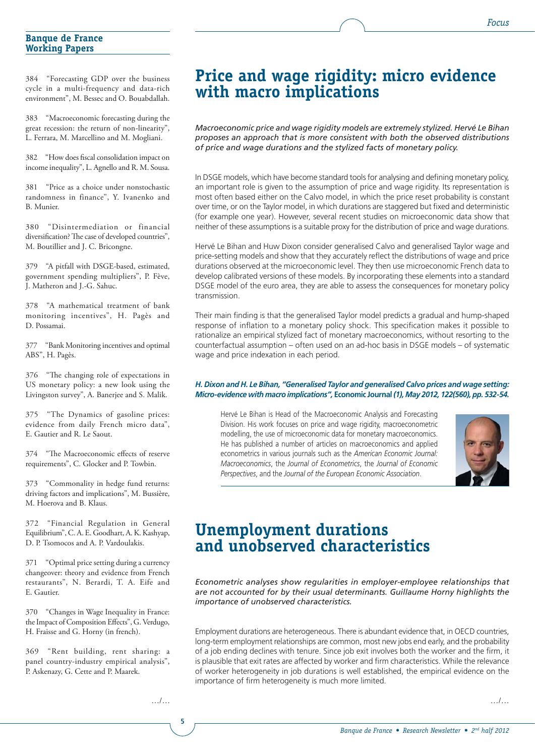#### **Banque de France Working Papers**

384 "Forecasting GDP over the business cycle in a multi-frequency and data-rich environment", M. Bessec and O. Bouabdallah.

383 "Macroeconomic forecasting during the great recession: the return of non-linearity", L. Ferrara, M. Marcellino and M. Mogliani.

382 "How does fiscal consolidation impact on income inequality", L. Agnello and R. M. Sousa.

381 "Price as a choice under nonstochastic randomness in finance", Y. Ivanenko and B. Munier.

380 "Disintermediation or financial diversification? The case of developed countries", M. Boutillier and J. C. Bricongne.

379 "A pitfall with DSGE-based, estimated, government spending multipliers", P. Fève, J. Matheron and J.-G. Sahuc.

378 "A mathematical treatment of bank monitoring incentives", H. Pagès and D. Possamai.

377 "Bank Monitoring incentives and optimal ABS", H. Pagès.

376 "The changing role of expectations in US monetary policy: a new look using the Livingston survey", A. Banerjee and S. Malik.

375 "The Dynamics of gasoline prices: evidence from daily French micro data", E. Gautier and R. Le Saout.

"The Macroeconomic effects of reserve requirements", C. Glocker and P. Towbin.

373 "Commonality in hedge fund returns: driving factors and implications", M. Bussière, M. Hoerova and B. Klaus.

372 "Financial Regulation in General Equilibrium", C. A. E. Goodhart, A. K. Kashyap, D. P. Tsomocos and A. P. Vardoulakis.

371 "Optimal price setting during a currency changeover: theory and evidence from French restaurants", N. Berardi, T. A. Eife and E. Gautier.

370 "Changes in Wage Inequality in France: the Impact of Composition Effects", G. Verdugo, H. Fraisse and G. Horny (in french).

369 "Rent building, rent sharing: a panel country-industry empirical analysis", P. Askenazy, G. Cette and P. Maarek.

# **Price and wage rigidity: micro evidence with macro implications**

*Macroeconomic price and wage rigidity models are extremely stylized. Hervé Le Bihan proposes an approach that is more consistent with both the observed distributions of price and wage durations and the stylized facts of monetary policy.*

In DSGE models, which have become standard tools for analysing and defining monetary policy. an important role is given to the assumption of price and wage rigidity. Its representation is most often based either on the Calvo model, in which the price reset probability is constant over time, or on the Taylor model, in which durations are staggered but fixed and deterministic (for example one year). However, several recent studies on microeconomic data show that neither of these assumptions is a suitable proxy for the distribution of price and wage durations.

Hervé Le Bihan and Huw Dixon consider generalised Calvo and generalised Taylor wage and price-setting models and show that they accurately reflect the distributions of wage and price durations observed at the microeconomic level. They then use microeconomic French data to develop calibrated versions of these models. By incorporating these elements into a standard DSGE model of the euro area, they are able to assess the consequences for monetary policy transmission.

Their main finding is that the generalised Taylor model predicts a gradual and hump-shaped response of inflation to a monetary policy shock. This specification makes it possible to rationalize an empirical stylized fact of monetary macroeconomics, without resorting to the counterfactual assumption – often used on an ad-hoc basis in DSGE models – of systematic wage and price indexation in each period.

#### *H. Dixon and H. Le Bihan, "Generalised Taylor and generalised Calvo prices and wage setting: Micro-evidence with macro implications",* **Economic Journal** *(1), May 2012, 122(560), pp. 532-54.*

Hervé Le Bihan is Head of the Macroeconomic Analysis and Forecasting Division. His work focuses on price and wage rigidity, macroeconometric modelling, the use of microeconomic data for monetary macroeconomics. He has published a number of articles on macroeconomics and applied econometrics in various journals such as the *American Economic Journal: Macroeconomics*, the *Journal of Econometrics*, the *Journal of Economic Perspectives*, and the *Journal of the European Economic Association*.



# **Unemployment durations and unobserved characteristics**

*Econometric analyses show regularities in employer-employee relationships that are not accounted for by their usual determinants. Guillaume Horny highlights the importance of unobserved characteristics.*

Employment durations are heterogeneous. There is abundant evidence that, in OECD countries, long-term employment relationships are common, most new jobs end early, and the probability of a job ending declines with tenure. Since job exit involves both the worker and the firm, it is plausible that exit rates are affected by worker and firm characteristics. While the relevance of worker heterogeneity in job durations is well established, the empirical evidence on the importance of firm heterogeneity is much more limited.

…/…

**5**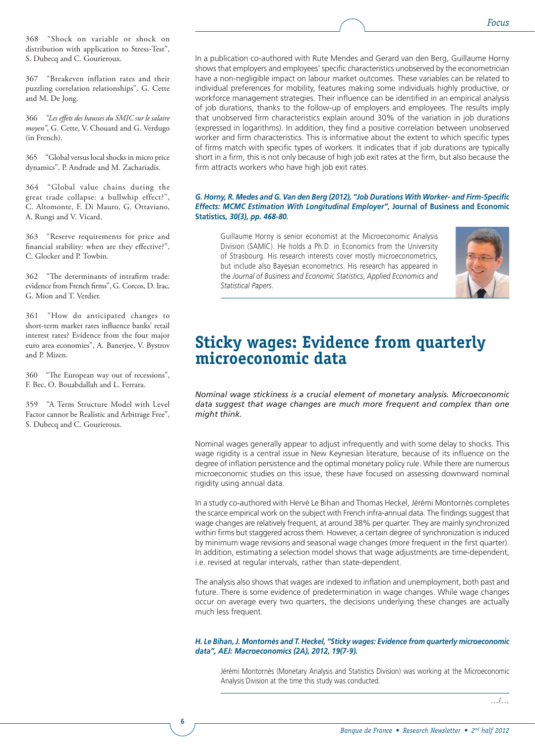368 "Shock on variable or shock on distribution with application to Stress-Test", S. Dubecq and C. Gourieroux.

367 "Breakeven inflation rates and their puzzling correlation relationships", G. Cette and M. De Jong.

366 *"Les effets des hausses du SMIC sur le salaire moyen"*, G. Cette, V. Chouard and G. Verdugo (in French).

365 "Global versus local shocks in micro price dynamics", P. Andrade and M. Zachariadis.

364 "Global value chains during the great trade collapse: a bullwhip effect?", C. Altomonte, F. Di Mauro, G. Ottaviano, A. Rungi and V. Vicard.

363 "Reserve requirements for price and financial stability: when are they effective?", C. Glocker and P. Towbin.

362 "The determinants of intrafirm trade: evidence from French firms", G. Corcos, D. Irac, G. Mion and T. Verdier.

361 "How do anticipated changes to short-term market rates influence banks' retail interest rates? Evidence from the four major euro area economies", A. Banerjee, V. Bystrov and P. Mizen.

360 "The European way out of recessions", F. Bec, O. Bouabdallah and L. Ferrara.

359 "A Term Structure Model with Level Factor cannot be Realistic and Arbitrage Free", S. Dubecq and C. Gourieroux.

**6**

In a publication co-authored with Rute Mendes and Gerard van den Berg, Guillaume Horny shows that employers and employees' specific characteristics unobserved by the econometrician have a non-negligible impact on labour market outcomes. These variables can be related to individual preferences for mobility, features making some individuals highly productive, or workforce management strategies. Their influence can be identified in an empirical analysis of job durations, thanks to the follow-up of employers and employees. The results imply that unobserved firm characteristics explain around 30% of the variation in job durations (expressed in logarithms). In addition, they find a positive correlation between unobserved worker and firm characteristics. This is informative about the extent to which specific types of firms match with specific types of workers. It indicates that if job durations are typically short in a firm, this is not only because of high job exit rates at the firm, but also because the firm attracts workers who have high job exit rates.

#### *G. Horny, R. Medes and G. Van den Berg (2012), "Job Durations With Worker- and Firm-Specifi c Effects: MCMC Estimation With Longitudinal Employer",* **Journal of Business and Economic Statistics***, 30(3), pp. 468-80.*

Guillaume Horny is senior economist at the Microeconomic Analysis Division (SAMIC). He holds a Ph.D. in Economics from the University of Strasbourg. His research interests cover mostly microeconometrics, but include also Bayesian econometrics. His research has appeared in the *Journal of Business and Economic Statistics*, *Applied Economics and Statistical Papers*.



# **Sticky wages: Evidence from quarterly microeconomic data**

*Nominal wage stickiness is a crucial element of monetary analysis. Microeconomic data suggest that wage changes are much more frequent and complex than one might think.*

Nominal wages generally appear to adjust infrequently and with some delay to shocks. This wage rigidity is a central issue in New Keynesian literature, because of its influence on the degree of inflation persistence and the optimal monetary policy rule. While there are numerous microeconomic studies on this issue, these have focused on assessing downward nominal rigidity using annual data.

In a study co-authored with Hervé Le Bihan and Thomas Heckel, Jérémi Montornès completes the scarce empirical work on the subject with French infra-annual data. The findings suggest that wage changes are relatively frequent, at around 38% per quarter. They are mainly synchronized within firms but staggered across them. However, a certain degree of synchronization is induced by minimum wage revisions and seasonal wage changes (more frequent in the first quarter). In addition, estimating a selection model shows that wage adjustments are time-dependent, i.e. revised at regular intervals, rather than state-dependent.

The analysis also shows that wages are indexed to inflation and unemployment, both past and future. There is some evidence of predetermination in wage changes. While wage changes occur on average every two quarters, the decisions underlying these changes are actually much less frequent.

#### *H. Le Bihan, J. Montornès and T. Heckel, "Sticky wages: Evidence from quarterly microeconomic data", AEJ: Macroeconomics (2A), 2012, 19(7-9).*

Jérémi Montornès (Monetary Analysis and Statistics Division) was working at the Microeconomic Analysis Division at the time this study was conducted.

…/…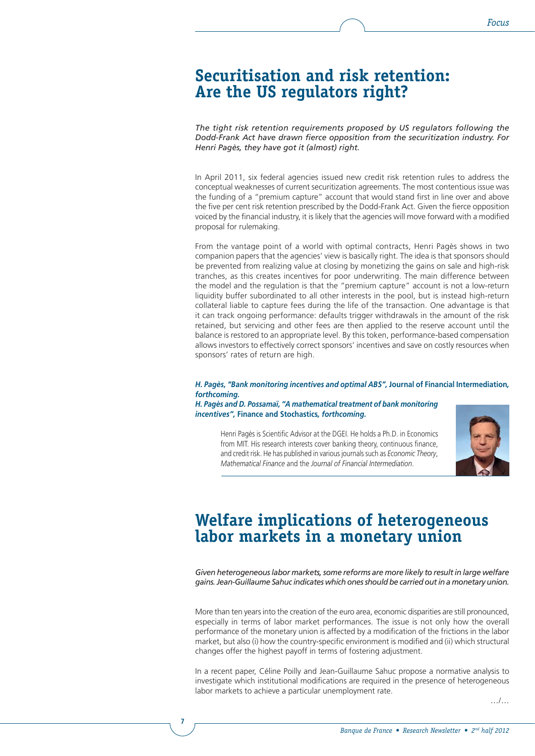### **Securitisation and risk retention: Are the US regulators right?**

*The tight risk retention requirements proposed by US regulators following the Dodd-Frank Act have drawn fierce opposition from the securitization industry. For Henri Pagès, they have got it (almost) right.*

In April 2011, six federal agencies issued new credit risk retention rules to address the conceptual weaknesses of current securitization agreements. The most contentious issue was the funding of a "premium capture" account that would stand first in line over and above the five per cent risk retention prescribed by the Dodd-Frank Act. Given the fierce opposition voiced by the financial industry, it is likely that the agencies will move forward with a modified proposal for rulemaking.

From the vantage point of a world with optimal contracts, Henri Pagès shows in two companion papers that the agencies' view is basically right. The idea is that sponsors should be prevented from realizing value at closing by monetizing the gains on sale and high-risk tranches, as this creates incentives for poor underwriting. The main difference between the model and the regulation is that the "premium capture" account is not a low-return liquidity buffer subordinated to all other interests in the pool, but is instead high-return collateral liable to capture fees during the life of the transaction. One advantage is that it can track ongoing performance: defaults trigger withdrawals in the amount of the risk retained, but servicing and other fees are then applied to the reserve account until the balance is restored to an appropriate level. By this token, performance-based compensation allows investors to effectively correct sponsors' incentives and save on costly resources when sponsors' rates of return are high.

#### *H. Pagès, ''Bank monitoring incentives and optimal ABS'',* **Journal of Financial Intermediation***, forthcoming.*

#### *H. Pagès and D. Possamaï, ''A mathematical treatment of bank monitoring incentives'',* **Finance and Stochastics***, forthcoming.*

Henri Pagès is Scientific Advisor at the DGEI. He holds a Ph.D. in Economics from MIT. His research interests cover banking theory, continuous finance, and credit risk. He has published in various journals such as *Economic Theory*, *Mathematical Finance* and the *Journal of Financial Intermediation*.



# **Welfare implications of heterogeneous labor markets in a monetary union**

*Given heterogeneous labor markets, some reforms are more likely to result in large welfare gains. Jean-Guillaume Sahuc indicates which ones should be carried out in a monetary union.*

More than ten years into the creation of the euro area, economic disparities are still pronounced, especially in terms of labor market performances. The issue is not only how the overall performance of the monetary union is affected by a modification of the frictions in the labor market, but also (i) how the country-specific environment is modified and (ii) which structural changes offer the highest payoff in terms of fostering adjustment.

In a recent paper, Céline Poilly and Jean-Guillaume Sahuc propose a normative analysis to investigate which institutional modifications are required in the presence of heterogeneous labor markets to achieve a particular unemployment rate.

**7**

…/…